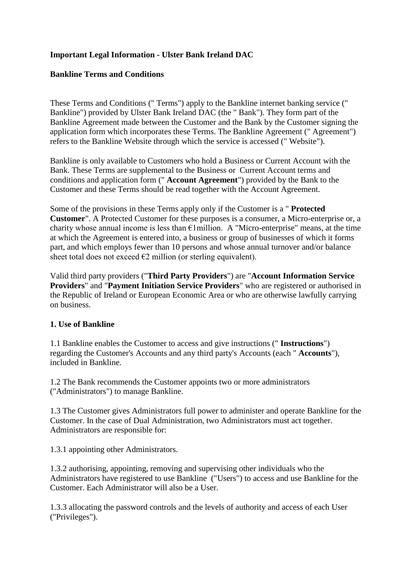## **Important Legal Information - Ulster Bank Ireland DAC**

#### **Bankline Terms and Conditions**

These Terms and Conditions (" Terms") apply to the Bankline internet banking service (" Bankline") provided by Ulster Bank Ireland DAC (the " Bank"). They form part of the Bankline Agreement made between the Customer and the Bank by the Customer signing the application form which incorporates these Terms. The Bankline Agreement (" Agreement") refers to the Bankline Website through which the service is accessed (" Website").

Bankline is only available to Customers who hold a Business or Current Account with the Bank. These Terms are supplemental to the Business or Current Account terms and conditions and application form (" **Account Agreement**") provided by the Bank to the Customer and these Terms should be read together with the Account Agreement.

Some of the provisions in these Terms apply only if the Customer is a " **Protected Customer**". A Protected Customer for these purposes is a consumer, a Micro-enterprise or, a charity whose annual income is less than  $\epsilon$ 1 million. A "Micro-enterprise" means, at the time at which the Agreement is entered into, a business or group of businesses of which it forms part, and which employs fewer than 10 persons and whose annual turnover and/or balance sheet total does not exceed  $\epsilon$ 2 million (or sterling equivalent).

Valid third party providers ("**Third Party Providers**") are "**Account Information Service Providers**" and "**Payment Initiation Service Providers**" who are registered or authorised in the Republic of Ireland or European Economic Area or who are otherwise lawfully carrying on business.

#### **1. Use of Bankline**

1.1 Bankline enables the Customer to access and give instructions (" **Instructions**") regarding the Customer's Accounts and any third party's Accounts (each " **Accounts**"), included in Bankline.

1.2 The Bank recommends the Customer appoints two or more administrators ("Administrators") to manage Bankline.

1.3 The Customer gives Administrators full power to administer and operate Bankline for the Customer. In the case of Dual Administration, two Administrators must act together. Administrators are responsible for:

1.3.1 appointing other Administrators.

1.3.2 authorising, appointing, removing and supervising other individuals who the Administrators have registered to use Bankline ("Users") to access and use Bankline for the Customer. Each Administrator will also be a User.

1.3.3 allocating the password controls and the levels of authority and access of each User ("Privileges").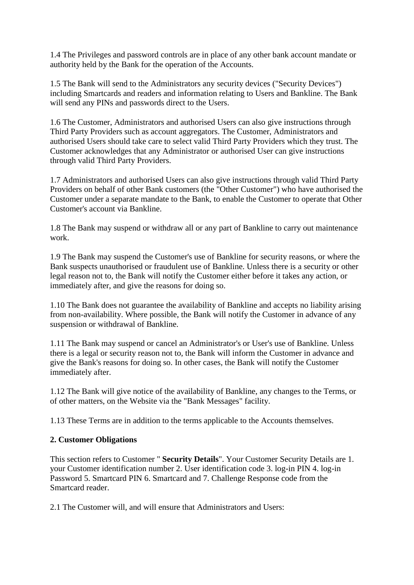1.4 The Privileges and password controls are in place of any other bank account mandate or authority held by the Bank for the operation of the Accounts.

1.5 The Bank will send to the Administrators any security devices ("Security Devices") including Smartcards and readers and information relating to Users and Bankline. The Bank will send any PINs and passwords direct to the Users.

1.6 The Customer, Administrators and authorised Users can also give instructions through Third Party Providers such as account aggregators. The Customer, Administrators and authorised Users should take care to select valid Third Party Providers which they trust. The Customer acknowledges that any Administrator or authorised User can give instructions through valid Third Party Providers.

1.7 Administrators and authorised Users can also give instructions through valid Third Party Providers on behalf of other Bank customers (the "Other Customer") who have authorised the Customer under a separate mandate to the Bank, to enable the Customer to operate that Other Customer's account via Bankline.

1.8 The Bank may suspend or withdraw all or any part of Bankline to carry out maintenance work.

1.9 The Bank may suspend the Customer's use of Bankline for security reasons, or where the Bank suspects unauthorised or fraudulent use of Bankline. Unless there is a security or other legal reason not to, the Bank will notify the Customer either before it takes any action, or immediately after, and give the reasons for doing so.

1.10 The Bank does not guarantee the availability of Bankline and accepts no liability arising from non-availability. Where possible, the Bank will notify the Customer in advance of any suspension or withdrawal of Bankline.

1.11 The Bank may suspend or cancel an Administrator's or User's use of Bankline. Unless there is a legal or security reason not to, the Bank will inform the Customer in advance and give the Bank's reasons for doing so. In other cases, the Bank will notify the Customer immediately after.

1.12 The Bank will give notice of the availability of Bankline, any changes to the Terms, or of other matters, on the Website via the "Bank Messages" facility.

1.13 These Terms are in addition to the terms applicable to the Accounts themselves.

### **2. Customer Obligations**

This section refers to Customer " **Security Details**". Your Customer Security Details are 1. your Customer identification number 2. User identification code 3. log-in PIN 4. log-in Password 5. Smartcard PIN 6. Smartcard and 7. Challenge Response code from the Smartcard reader.

2.1 The Customer will, and will ensure that Administrators and Users: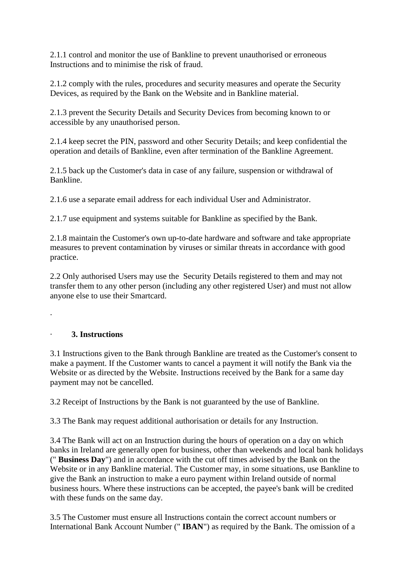2.1.1 control and monitor the use of Bankline to prevent unauthorised or erroneous Instructions and to minimise the risk of fraud.

2.1.2 comply with the rules, procedures and security measures and operate the Security Devices, as required by the Bank on the Website and in Bankline material.

2.1.3 prevent the Security Details and Security Devices from becoming known to or accessible by any unauthorised person.

2.1.4 keep secret the PIN, password and other Security Details; and keep confidential the operation and details of Bankline, even after termination of the Bankline Agreement.

2.1.5 back up the Customer's data in case of any failure, suspension or withdrawal of Bankline.

2.1.6 use a separate email address for each individual User and Administrator.

2.1.7 use equipment and systems suitable for Bankline as specified by the Bank.

2.1.8 maintain the Customer's own up-to-date hardware and software and take appropriate measures to prevent contamination by viruses or similar threats in accordance with good practice.

2.2 Only authorised Users may use the Security Details registered to them and may not transfer them to any other person (including any other registered User) and must not allow anyone else to use their Smartcard.

·

# · **3. Instructions**

3.1 Instructions given to the Bank through Bankline are treated as the Customer's consent to make a payment. If the Customer wants to cancel a payment it will notify the Bank via the Website or as directed by the Website. Instructions received by the Bank for a same day payment may not be cancelled.

3.2 Receipt of Instructions by the Bank is not guaranteed by the use of Bankline.

3.3 The Bank may request additional authorisation or details for any Instruction.

3.4 The Bank will act on an Instruction during the hours of operation on a day on which banks in Ireland are generally open for business, other than weekends and local bank holidays (" **Business Day**") and in accordance with the cut off times advised by the Bank on the Website or in any Bankline material. The Customer may, in some situations, use Bankline to give the Bank an instruction to make a euro payment within Ireland outside of normal business hours. Where these instructions can be accepted, the payee's bank will be credited with these funds on the same day.

3.5 The Customer must ensure all Instructions contain the correct account numbers or International Bank Account Number (" **IBAN**") as required by the Bank. The omission of a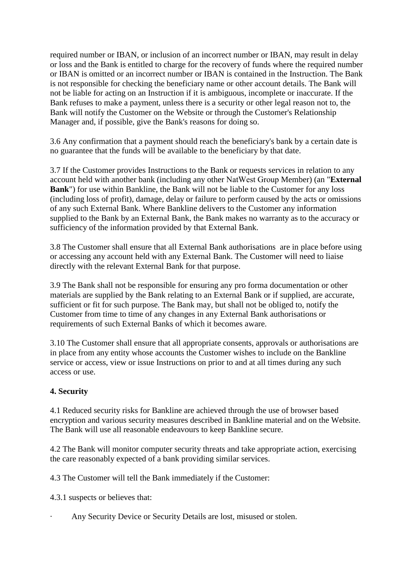required number or IBAN, or inclusion of an incorrect number or IBAN, may result in delay or loss and the Bank is entitled to charge for the recovery of funds where the required number or IBAN is omitted or an incorrect number or IBAN is contained in the Instruction. The Bank is not responsible for checking the beneficiary name or other account details. The Bank will not be liable for acting on an Instruction if it is ambiguous, incomplete or inaccurate. If the Bank refuses to make a payment, unless there is a security or other legal reason not to, the Bank will notify the Customer on the Website or through the Customer's Relationship Manager and, if possible, give the Bank's reasons for doing so.

3.6 Any confirmation that a payment should reach the beneficiary's bank by a certain date is no guarantee that the funds will be available to the beneficiary by that date.

3.7 If the Customer provides Instructions to the Bank or requests services in relation to any account held with another bank (including any other NatWest Group Member) (an "**External Bank**") for use within Bankline, the Bank will not be liable to the Customer for any loss (including loss of profit), damage, delay or failure to perform caused by the acts or omissions of any such External Bank. Where Bankline delivers to the Customer any information supplied to the Bank by an External Bank, the Bank makes no warranty as to the accuracy or sufficiency of the information provided by that External Bank.

3.8 The Customer shall ensure that all External Bank authorisations are in place before using or accessing any account held with any External Bank. The Customer will need to liaise directly with the relevant External Bank for that purpose.

3.9 The Bank shall not be responsible for ensuring any pro forma documentation or other materials are supplied by the Bank relating to an External Bank or if supplied, are accurate, sufficient or fit for such purpose. The Bank may, but shall not be obliged to, notify the Customer from time to time of any changes in any External Bank authorisations or requirements of such External Banks of which it becomes aware.

3.10 The Customer shall ensure that all appropriate consents, approvals or authorisations are in place from any entity whose accounts the Customer wishes to include on the Bankline service or access, view or issue Instructions on prior to and at all times during any such access or use.

### **4. Security**

4.1 Reduced security risks for Bankline are achieved through the use of browser based encryption and various security measures described in Bankline material and on the Website. The Bank will use all reasonable endeavours to keep Bankline secure.

4.2 The Bank will monitor computer security threats and take appropriate action, exercising the care reasonably expected of a bank providing similar services.

4.3 The Customer will tell the Bank immediately if the Customer:

4.3.1 suspects or believes that:

Any Security Device or Security Details are lost, misused or stolen.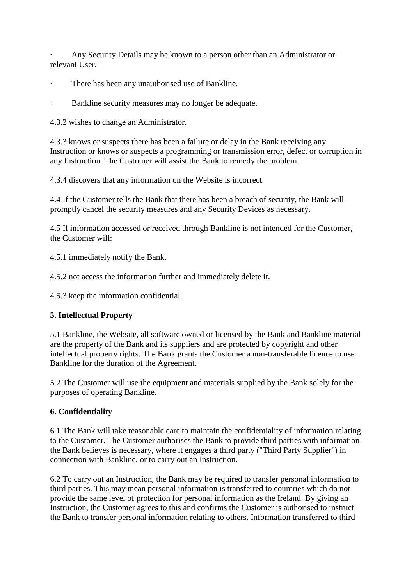· Any Security Details may be known to a person other than an Administrator or relevant User.

- · There has been any unauthorised use of Bankline.
- · Bankline security measures may no longer be adequate.

4.3.2 wishes to change an Administrator.

4.3.3 knows or suspects there has been a failure or delay in the Bank receiving any Instruction or knows or suspects a programming or transmission error, defect or corruption in any Instruction. The Customer will assist the Bank to remedy the problem.

4.3.4 discovers that any information on the Website is incorrect.

4.4 If the Customer tells the Bank that there has been a breach of security, the Bank will promptly cancel the security measures and any Security Devices as necessary.

4.5 If information accessed or received through Bankline is not intended for the Customer, the Customer will:

4.5.1 immediately notify the Bank.

4.5.2 not access the information further and immediately delete it.

4.5.3 keep the information confidential.

## **5. Intellectual Property**

5.1 Bankline, the Website, all software owned or licensed by the Bank and Bankline material are the property of the Bank and its suppliers and are protected by copyright and other intellectual property rights. The Bank grants the Customer a non-transferable licence to use Bankline for the duration of the Agreement.

5.2 The Customer will use the equipment and materials supplied by the Bank solely for the purposes of operating Bankline.

### **6. Confidentiality**

6.1 The Bank will take reasonable care to maintain the confidentiality of information relating to the Customer. The Customer authorises the Bank to provide third parties with information the Bank believes is necessary, where it engages a third party ("Third Party Supplier") in connection with Bankline, or to carry out an Instruction.

6.2 To carry out an Instruction, the Bank may be required to transfer personal information to third parties. This may mean personal information is transferred to countries which do not provide the same level of protection for personal information as the Ireland. By giving an Instruction, the Customer agrees to this and confirms the Customer is authorised to instruct the Bank to transfer personal information relating to others. Information transferred to third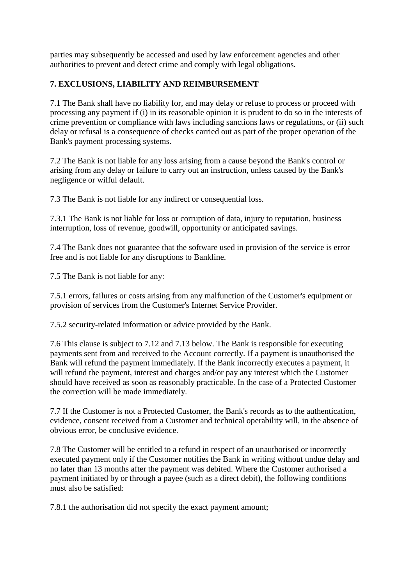parties may subsequently be accessed and used by law enforcement agencies and other authorities to prevent and detect crime and comply with legal obligations.

## **7. EXCLUSIONS, LIABILITY AND REIMBURSEMENT**

7.1 The Bank shall have no liability for, and may delay or refuse to process or proceed with processing any payment if (i) in its reasonable opinion it is prudent to do so in the interests of crime prevention or compliance with laws including sanctions laws or regulations, or (ii) such delay or refusal is a consequence of checks carried out as part of the proper operation of the Bank's payment processing systems.

7.2 The Bank is not liable for any loss arising from a cause beyond the Bank's control or arising from any delay or failure to carry out an instruction, unless caused by the Bank's negligence or wilful default.

7.3 The Bank is not liable for any indirect or consequential loss.

7.3.1 The Bank is not liable for loss or corruption of data, injury to reputation, business interruption, loss of revenue, goodwill, opportunity or anticipated savings.

7.4 The Bank does not guarantee that the software used in provision of the service is error free and is not liable for any disruptions to Bankline.

7.5 The Bank is not liable for any:

7.5.1 errors, failures or costs arising from any malfunction of the Customer's equipment or provision of services from the Customer's Internet Service Provider.

7.5.2 security-related information or advice provided by the Bank.

7.6 This clause is subject to 7.12 and 7.13 below. The Bank is responsible for executing payments sent from and received to the Account correctly. If a payment is unauthorised the Bank will refund the payment immediately. If the Bank incorrectly executes a payment, it will refund the payment, interest and charges and/or pay any interest which the Customer should have received as soon as reasonably practicable. In the case of a Protected Customer the correction will be made immediately.

7.7 If the Customer is not a Protected Customer, the Bank's records as to the authentication, evidence, consent received from a Customer and technical operability will, in the absence of obvious error, be conclusive evidence.

7.8 The Customer will be entitled to a refund in respect of an unauthorised or incorrectly executed payment only if the Customer notifies the Bank in writing without undue delay and no later than 13 months after the payment was debited. Where the Customer authorised a payment initiated by or through a payee (such as a direct debit), the following conditions must also be satisfied:

7.8.1 the authorisation did not specify the exact payment amount;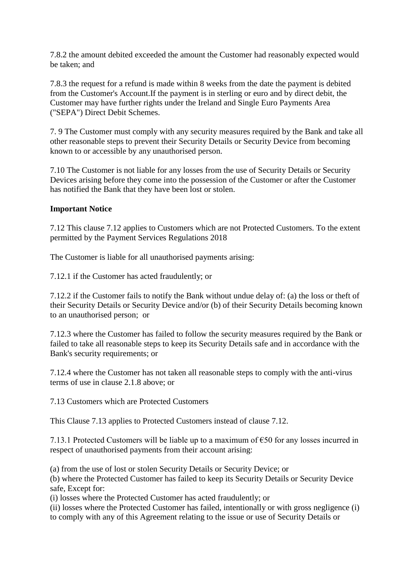7.8.2 the amount debited exceeded the amount the Customer had reasonably expected would be taken; and

7.8.3 the request for a refund is made within 8 weeks from the date the payment is debited from the Customer's Account.If the payment is in sterling or euro and by direct debit, the Customer may have further rights under the Ireland and Single Euro Payments Area ("SEPA") Direct Debit Schemes.

7. 9 The Customer must comply with any security measures required by the Bank and take all other reasonable steps to prevent their Security Details or Security Device from becoming known to or accessible by any unauthorised person.

7.10 The Customer is not liable for any losses from the use of Security Details or Security Devices arising before they come into the possession of the Customer or after the Customer has notified the Bank that they have been lost or stolen.

### **Important Notice**

7.12 This clause 7.12 applies to Customers which are not Protected Customers. To the extent permitted by the Payment Services Regulations 2018

The Customer is liable for all unauthorised payments arising:

7.12.1 if the Customer has acted fraudulently; or

7.12.2 if the Customer fails to notify the Bank without undue delay of: (a) the loss or theft of their Security Details or Security Device and/or (b) of their Security Details becoming known to an unauthorised person; or

7.12.3 where the Customer has failed to follow the security measures required by the Bank or failed to take all reasonable steps to keep its Security Details safe and in accordance with the Bank's security requirements; or

7.12.4 where the Customer has not taken all reasonable steps to comply with the anti-virus terms of use in clause 2.1.8 above; or

7.13 Customers which are Protected Customers

This Clause 7.13 applies to Protected Customers instead of clause 7.12.

7.13.1 Protected Customers will be liable up to a maximum of  $\epsilon$ 50 for any losses incurred in respect of unauthorised payments from their account arising:

(a) from the use of lost or stolen Security Details or Security Device; or

(b) where the Protected Customer has failed to keep its Security Details or Security Device safe, Except for:

(i) losses where the Protected Customer has acted fraudulently; or

(ii) losses where the Protected Customer has failed, intentionally or with gross negligence (i) to comply with any of this Agreement relating to the issue or use of Security Details or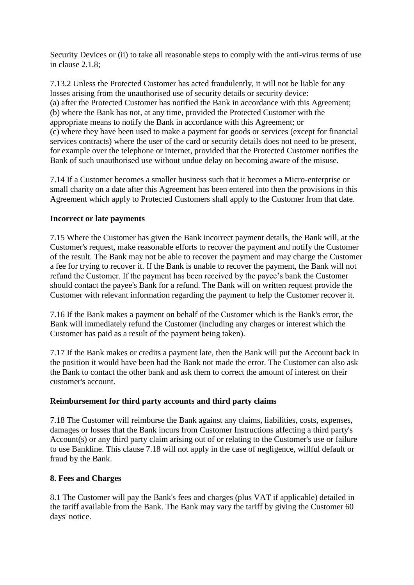Security Devices or (ii) to take all reasonable steps to comply with the anti-virus terms of use in clause 2.1.8;

7.13.2 Unless the Protected Customer has acted fraudulently, it will not be liable for any losses arising from the unauthorised use of security details or security device: (a) after the Protected Customer has notified the Bank in accordance with this Agreement; (b) where the Bank has not, at any time, provided the Protected Customer with the appropriate means to notify the Bank in accordance with this Agreement; or (c) where they have been used to make a payment for goods or services (except for financial services contracts) where the user of the card or security details does not need to be present, for example over the telephone or internet, provided that the Protected Customer notifies the Bank of such unauthorised use without undue delay on becoming aware of the misuse.

7.14 If a Customer becomes a smaller business such that it becomes a Micro-enterprise or small charity on a date after this Agreement has been entered into then the provisions in this Agreement which apply to Protected Customers shall apply to the Customer from that date.

### **Incorrect or late payments**

7.15 Where the Customer has given the Bank incorrect payment details, the Bank will, at the Customer's request, make reasonable efforts to recover the payment and notify the Customer of the result. The Bank may not be able to recover the payment and may charge the Customer a fee for trying to recover it. If the Bank is unable to recover the payment, the Bank will not refund the Customer. If the payment has been received by the payee's bank the Customer should contact the payee's Bank for a refund. The Bank will on written request provide the Customer with relevant information regarding the payment to help the Customer recover it.

7.16 If the Bank makes a payment on behalf of the Customer which is the Bank's error, the Bank will immediately refund the Customer (including any charges or interest which the Customer has paid as a result of the payment being taken).

7.17 If the Bank makes or credits a payment late, then the Bank will put the Account back in the position it would have been had the Bank not made the error. The Customer can also ask the Bank to contact the other bank and ask them to correct the amount of interest on their customer's account.

### **Reimbursement for third party accounts and third party claims**

7.18 The Customer will reimburse the Bank against any claims, liabilities, costs, expenses, damages or losses that the Bank incurs from Customer Instructions affecting a third party's Account(s) or any third party claim arising out of or relating to the Customer's use or failure to use Bankline. This clause 7.18 will not apply in the case of negligence, willful default or fraud by the Bank.

### **8. Fees and Charges**

8.1 The Customer will pay the Bank's fees and charges (plus VAT if applicable) detailed in the tariff available from the Bank. The Bank may vary the tariff by giving the Customer 60 days' notice.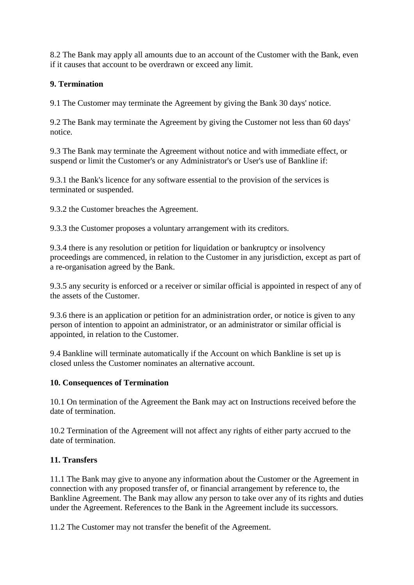8.2 The Bank may apply all amounts due to an account of the Customer with the Bank, even if it causes that account to be overdrawn or exceed any limit.

### **9. Termination**

9.1 The Customer may terminate the Agreement by giving the Bank 30 days' notice.

9.2 The Bank may terminate the Agreement by giving the Customer not less than 60 days' notice.

9.3 The Bank may terminate the Agreement without notice and with immediate effect, or suspend or limit the Customer's or any Administrator's or User's use of Bankline if:

9.3.1 the Bank's licence for any software essential to the provision of the services is terminated or suspended.

9.3.2 the Customer breaches the Agreement.

9.3.3 the Customer proposes a voluntary arrangement with its creditors.

9.3.4 there is any resolution or petition for liquidation or bankruptcy or insolvency proceedings are commenced, in relation to the Customer in any jurisdiction, except as part of a re-organisation agreed by the Bank.

9.3.5 any security is enforced or a receiver or similar official is appointed in respect of any of the assets of the Customer.

9.3.6 there is an application or petition for an administration order, or notice is given to any person of intention to appoint an administrator, or an administrator or similar official is appointed, in relation to the Customer.

9.4 Bankline will terminate automatically if the Account on which Bankline is set up is closed unless the Customer nominates an alternative account.

### **10. Consequences of Termination**

10.1 On termination of the Agreement the Bank may act on Instructions received before the date of termination.

10.2 Termination of the Agreement will not affect any rights of either party accrued to the date of termination.

### **11. Transfers**

11.1 The Bank may give to anyone any information about the Customer or the Agreement in connection with any proposed transfer of, or financial arrangement by reference to, the Bankline Agreement. The Bank may allow any person to take over any of its rights and duties under the Agreement. References to the Bank in the Agreement include its successors.

11.2 The Customer may not transfer the benefit of the Agreement.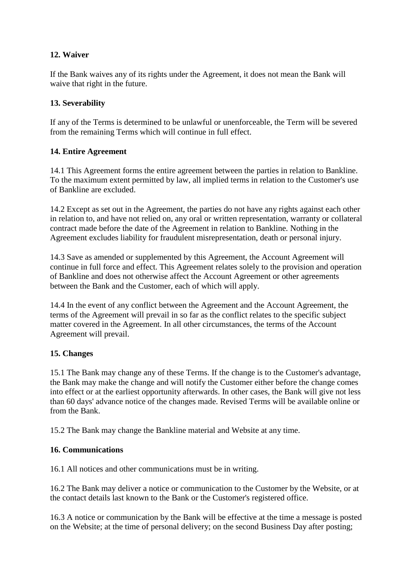## **12. Waiver**

If the Bank waives any of its rights under the Agreement, it does not mean the Bank will waive that right in the future.

### **13. Severability**

If any of the Terms is determined to be unlawful or unenforceable, the Term will be severed from the remaining Terms which will continue in full effect.

#### **14. Entire Agreement**

14.1 This Agreement forms the entire agreement between the parties in relation to Bankline. To the maximum extent permitted by law, all implied terms in relation to the Customer's use of Bankline are excluded.

14.2 Except as set out in the Agreement, the parties do not have any rights against each other in relation to, and have not relied on, any oral or written representation, warranty or collateral contract made before the date of the Agreement in relation to Bankline. Nothing in the Agreement excludes liability for fraudulent misrepresentation, death or personal injury.

14.3 Save as amended or supplemented by this Agreement, the Account Agreement will continue in full force and effect. This Agreement relates solely to the provision and operation of Bankline and does not otherwise affect the Account Agreement or other agreements between the Bank and the Customer, each of which will apply.

14.4 In the event of any conflict between the Agreement and the Account Agreement, the terms of the Agreement will prevail in so far as the conflict relates to the specific subject matter covered in the Agreement. In all other circumstances, the terms of the Account Agreement will prevail.

### **15. Changes**

15.1 The Bank may change any of these Terms. If the change is to the Customer's advantage, the Bank may make the change and will notify the Customer either before the change comes into effect or at the earliest opportunity afterwards. In other cases, the Bank will give not less than 60 days' advance notice of the changes made. Revised Terms will be available online or from the Bank.

15.2 The Bank may change the Bankline material and Website at any time.

#### **16. Communications**

16.1 All notices and other communications must be in writing.

16.2 The Bank may deliver a notice or communication to the Customer by the Website, or at the contact details last known to the Bank or the Customer's registered office.

16.3 A notice or communication by the Bank will be effective at the time a message is posted on the Website; at the time of personal delivery; on the second Business Day after posting;